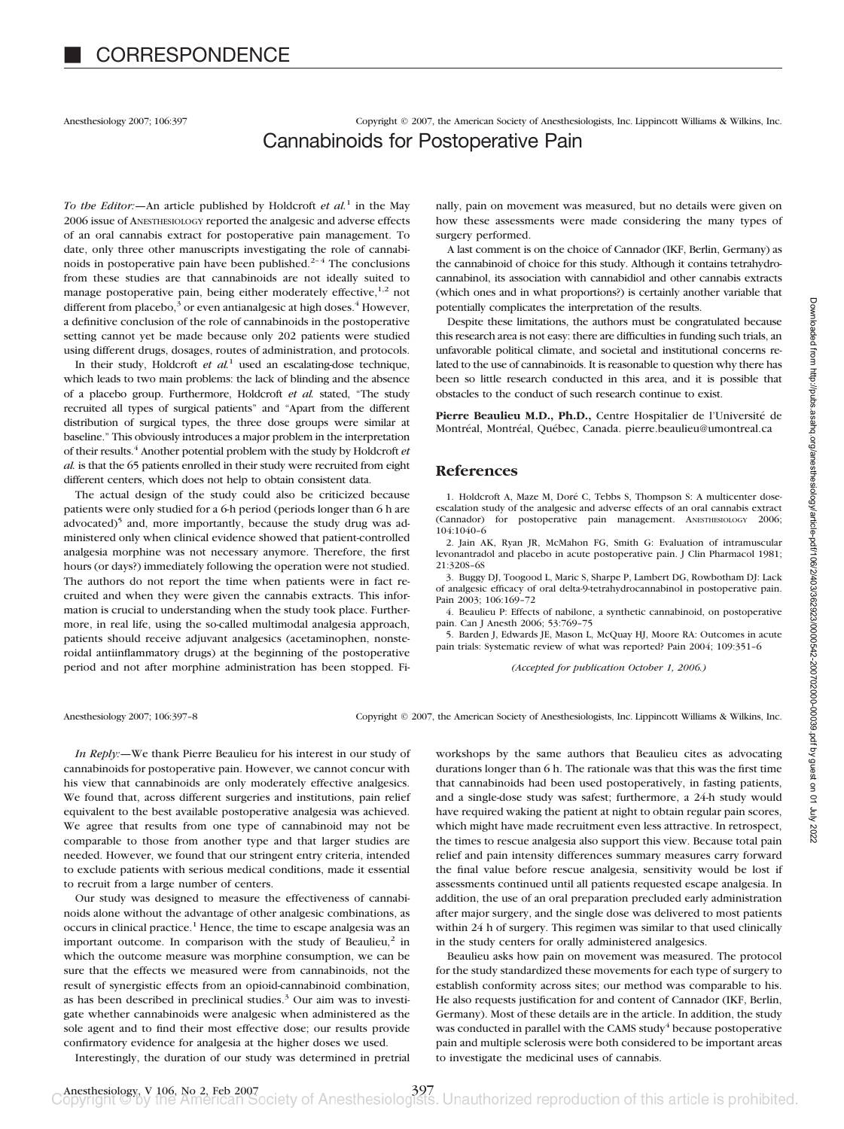Anesthesiology 2007; 106:397 Copyright © 2007, the American Society of Anesthesiologists, Inc. Lippincott Williams & Wilkins, Inc.

# Cannabinoids for Postoperative Pain

*To the Editor:—*An article published by Holdcroft *et al.*<sup>1</sup> in the May 2006 issue of ANESTHESIOLOGY reported the analgesic and adverse effects of an oral cannabis extract for postoperative pain management. To date, only three other manuscripts investigating the role of cannabinoids in postoperative pain have been published.<sup> $2-4$ </sup> The conclusions from these studies are that cannabinoids are not ideally suited to manage postoperative pain, being either moderately effective, $1,2$  not different from placebo, $3$  or even antianalgesic at high doses. $4$  However, a definitive conclusion of the role of cannabinoids in the postoperative setting cannot yet be made because only 202 patients were studied using different drugs, dosages, routes of administration, and protocols.

In their study, Holdcroft *et al.*<sup>1</sup> used an escalating-dose technique, which leads to two main problems: the lack of blinding and the absence of a placebo group. Furthermore, Holdcroft *et al.* stated, "The study recruited all types of surgical patients" and "Apart from the different distribution of surgical types, the three dose groups were similar at baseline." This obviously introduces a major problem in the interpretation of their results.4 Another potential problem with the study by Holdcroft *et al.* is that the 65 patients enrolled in their study were recruited from eight different centers, which does not help to obtain consistent data.

The actual design of the study could also be criticized because patients were only studied for a 6-h period (periods longer than 6 h are advocated)<sup>5</sup> and, more importantly, because the study drug was administered only when clinical evidence showed that patient-controlled analgesia morphine was not necessary anymore. Therefore, the first hours (or days?) immediately following the operation were not studied. The authors do not report the time when patients were in fact recruited and when they were given the cannabis extracts. This information is crucial to understanding when the study took place. Furthermore, in real life, using the so-called multimodal analgesia approach, patients should receive adjuvant analgesics (acetaminophen, nonsteroidal antiinflammatory drugs) at the beginning of the postoperative period and not after morphine administration has been stopped. Fi-

nally, pain on movement was measured, but no details were given on how these assessments were made considering the many types of surgery performed.

A last comment is on the choice of Cannador (IKF, Berlin, Germany) as the cannabinoid of choice for this study. Although it contains tetrahydrocannabinol, its association with cannabidiol and other cannabis extracts (which ones and in what proportions?) is certainly another variable that potentially complicates the interpretation of the results.

Despite these limitations, the authors must be congratulated because this research area is not easy: there are difficulties in funding such trials, an unfavorable political climate, and societal and institutional concerns related to the use of cannabinoids. It is reasonable to question why there has been so little research conducted in this area, and it is possible that obstacles to the conduct of such research continue to exist.

Pierre Beaulieu M.D., Ph.D., Centre Hospitalier de l'Université de Montréal, Montréal, Québec, Canada. pierre.beaulieu@umontreal.ca

### **References**

1. Holdcroft A, Maze M, Doré C, Tebbs S, Thompson S: A multicenter doseescalation study of the analgesic and adverse effects of an oral cannabis extract<br>(Cannador) for postoperative pain management. ANESTHESIOLOGY 2006: for postoperative pain management. ANESTHESIOLOGY 2006; 104:1040–6

2. Jain AK, Ryan JR, McMahon FG, Smith G: Evaluation of intramuscular levonantradol and placebo in acute postoperative pain. J Clin Pharmacol 1981; 21:320S–6S

3. Buggy DJ, Toogood L, Maric S, Sharpe P, Lambert DG, Rowbotham DJ: Lack of analgesic efficacy of oral delta-9-tetrahydrocannabinol in postoperative pain. Pain 2003; 106:169–72

4. Beaulieu P: Effects of nabilone, a synthetic cannabinoid, on postoperative pain. Can J Anesth 2006; 53:769–75

5. Barden J, Edwards JE, Mason L, McQuay HJ, Moore RA: Outcomes in acute pain trials: Systematic review of what was reported? Pain 2004; 109:351–6

*(Accepted for publication October 1, 2006.)*

Anesthesiology 2007; 106:397–8 Copyright © 2007, the American Society of Anesthesiologists, Inc. Lippincott Williams & Wilkins, Inc.

*In Reply:—*We thank Pierre Beaulieu for his interest in our study of cannabinoids for postoperative pain. However, we cannot concur with his view that cannabinoids are only moderately effective analgesics. We found that, across different surgeries and institutions, pain relief equivalent to the best available postoperative analgesia was achieved. We agree that results from one type of cannabinoid may not be comparable to those from another type and that larger studies are needed. However, we found that our stringent entry criteria, intended to exclude patients with serious medical conditions, made it essential to recruit from a large number of centers.

Our study was designed to measure the effectiveness of cannabinoids alone without the advantage of other analgesic combinations, as occurs in clinical practice.<sup>1</sup> Hence, the time to escape analgesia was an important outcome. In comparison with the study of Beaulieu, $2$  in which the outcome measure was morphine consumption, we can be sure that the effects we measured were from cannabinoids, not the result of synergistic effects from an opioid-cannabinoid combination, as has been described in preclinical studies.<sup>3</sup> Our aim was to investigate whether cannabinoids were analgesic when administered as the sole agent and to find their most effective dose; our results provide confirmatory evidence for analgesia at the higher doses we used.

Interestingly, the duration of our study was determined in pretrial

workshops by the same authors that Beaulieu cites as advocating durations longer than 6 h. The rationale was that this was the first time that cannabinoids had been used postoperatively, in fasting patients, and a single-dose study was safest; furthermore, a 24-h study would have required waking the patient at night to obtain regular pain scores, which might have made recruitment even less attractive. In retrospect, the times to rescue analgesia also support this view. Because total pain relief and pain intensity differences summary measures carry forward the final value before rescue analgesia, sensitivity would be lost if assessments continued until all patients requested escape analgesia. In addition, the use of an oral preparation precluded early administration after major surgery, and the single dose was delivered to most patients within 24 h of surgery. This regimen was similar to that used clinically in the study centers for orally administered analgesics.

Beaulieu asks how pain on movement was measured. The protocol for the study standardized these movements for each type of surgery to establish conformity across sites; our method was comparable to his. He also requests justification for and content of Cannador (IKF, Berlin, Germany). Most of these details are in the article. In addition, the study was conducted in parallel with the CAMS study<sup>4</sup> because postoperative pain and multiple sclerosis were both considered to be important areas to investigate the medicinal uses of cannabis.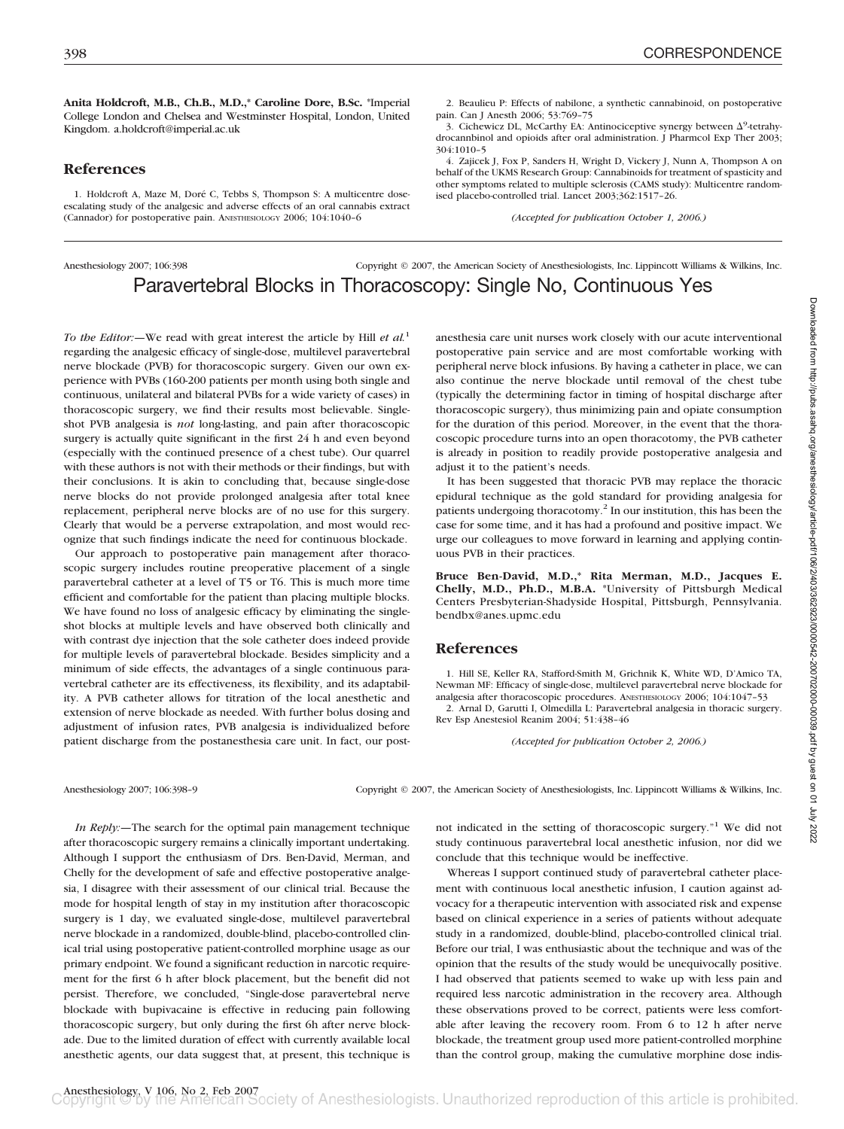**Anita Holdcroft, M.B., Ch.B., M.D.,\* Caroline Dore, B.Sc.** \*Imperial College London and Chelsea and Westminster Hospital, London, United Kingdom. a.holdcroft@imperial.ac.uk

#### **References**

1. Holdcroft A, Maze M, Doré C, Tebbs S, Thompson S: A multicentre doseescalating study of the analgesic and adverse effects of an oral cannabis extract (Cannador) for postoperative pain. ANESTHESIOLOGY 2006; 104:1040–6

2. Beaulieu P: Effects of nabilone, a synthetic cannabinoid, on postoperative pain. Can J Anesth 2006; 53:769–75

3. Cichewicz DL, McCarthy EA: Antinociceptive synergy between  $\Delta^9$ -tetrahydrocannbinol and opioids after oral administration. J Pharmcol Exp Ther 2003; 304:1010–5

4. Zajicek J, Fox P, Sanders H, Wright D, Vickery J, Nunn A, Thompson A on behalf of the UKMS Research Group: Cannabinoids for treatment of spasticity and other symptoms related to multiple sclerosis (CAMS study): Multicentre randomised placebo-controlled trial. Lancet 2003;362:1517–26.

*(Accepted for publication October 1, 2006.)*

# Anesthesiology 2007; 106:398 Copyright © 2007, the American Society of Anesthesiologists, Inc. Lippincott Williams & Wilkins, Inc. Paravertebral Blocks in Thoracoscopy: Single No, Continuous Yes

*To the Editor:—*We read with great interest the article by Hill *et al.*<sup>1</sup> regarding the analgesic efficacy of single-dose, multilevel paravertebral nerve blockade (PVB) for thoracoscopic surgery. Given our own experience with PVBs (160-200 patients per month using both single and continuous, unilateral and bilateral PVBs for a wide variety of cases) in thoracoscopic surgery, we find their results most believable. Singleshot PVB analgesia is *not* long-lasting, and pain after thoracoscopic surgery is actually quite significant in the first 24 h and even beyond (especially with the continued presence of a chest tube). Our quarrel with these authors is not with their methods or their findings, but with their conclusions. It is akin to concluding that, because single-dose nerve blocks do not provide prolonged analgesia after total knee replacement, peripheral nerve blocks are of no use for this surgery. Clearly that would be a perverse extrapolation, and most would recognize that such findings indicate the need for continuous blockade.

Our approach to postoperative pain management after thoracoscopic surgery includes routine preoperative placement of a single paravertebral catheter at a level of T5 or T6. This is much more time efficient and comfortable for the patient than placing multiple blocks. We have found no loss of analgesic efficacy by eliminating the singleshot blocks at multiple levels and have observed both clinically and with contrast dye injection that the sole catheter does indeed provide for multiple levels of paravertebral blockade. Besides simplicity and a minimum of side effects, the advantages of a single continuous paravertebral catheter are its effectiveness, its flexibility, and its adaptability. A PVB catheter allows for titration of the local anesthetic and extension of nerve blockade as needed. With further bolus dosing and adjustment of infusion rates, PVB analgesia is individualized before patient discharge from the postanesthesia care unit. In fact, our postanesthesia care unit nurses work closely with our acute interventional postoperative pain service and are most comfortable working with peripheral nerve block infusions. By having a catheter in place, we can also continue the nerve blockade until removal of the chest tube (typically the determining factor in timing of hospital discharge after thoracoscopic surgery), thus minimizing pain and opiate consumption for the duration of this period. Moreover, in the event that the thoracoscopic procedure turns into an open thoracotomy, the PVB catheter is already in position to readily provide postoperative analgesia and adjust it to the patient's needs.

It has been suggested that thoracic PVB may replace the thoracic epidural technique as the gold standard for providing analgesia for patients undergoing thoracotomy.<sup>2</sup> In our institution, this has been the case for some time, and it has had a profound and positive impact. We urge our colleagues to move forward in learning and applying continuous PVB in their practices.

**Bruce Ben-David, M.D.,\* Rita Merman, M.D., Jacques E. Chelly, M.D., Ph.D., M.B.A.** \*University of Pittsburgh Medical Centers Presbyterian-Shadyside Hospital, Pittsburgh, Pennsylvania. bendbx@anes.upmc.edu

### **References**

1. Hill SE, Keller RA, Stafford-Smith M, Grichnik K, White WD, D'Amico TA, Newman MF: Efficacy of single-dose, multilevel paravertebral nerve blockade for analgesia after thoracoscopic procedures. ANESTHESIOLOGY 2006; 104:1047–53 2. Arnal D, Garutti I, Olmedilla L: Paravertebral analgesia in thoracic surgery. Rev Esp Anestesiol Reanim 2004; 51:438–46

*(Accepted for publication October 2, 2006.)*

Anesthesiology 2007; 106:398–9 Copyright © 2007, the American Society of Anesthesiologists, Inc. Lippincott Williams & Wilkins, Inc.

*In Reply:—*The search for the optimal pain management technique after thoracoscopic surgery remains a clinically important undertaking. Although I support the enthusiasm of Drs. Ben-David, Merman, and Chelly for the development of safe and effective postoperative analgesia, I disagree with their assessment of our clinical trial. Because the mode for hospital length of stay in my institution after thoracoscopic surgery is 1 day, we evaluated single-dose, multilevel paravertebral nerve blockade in a randomized, double-blind, placebo-controlled clinical trial using postoperative patient-controlled morphine usage as our primary endpoint. We found a significant reduction in narcotic requirement for the first 6 h after block placement, but the benefit did not persist. Therefore, we concluded, "Single-dose paravertebral nerve blockade with bupivacaine is effective in reducing pain following thoracoscopic surgery, but only during the first 6h after nerve blockade. Due to the limited duration of effect with currently available local anesthetic agents, our data suggest that, at present, this technique is not indicated in the setting of thoracoscopic surgery."1 We did not study continuous paravertebral local anesthetic infusion, nor did we conclude that this technique would be ineffective.

Whereas I support continued study of paravertebral catheter placement with continuous local anesthetic infusion, I caution against advocacy for a therapeutic intervention with associated risk and expense based on clinical experience in a series of patients without adequate study in a randomized, double-blind, placebo-controlled clinical trial. Before our trial, I was enthusiastic about the technique and was of the opinion that the results of the study would be unequivocally positive. I had observed that patients seemed to wake up with less pain and required less narcotic administration in the recovery area. Although these observations proved to be correct, patients were less comfortable after leaving the recovery room. From 6 to 12 h after nerve blockade, the treatment group used more patient-controlled morphine than the control group, making the cumulative morphine dose indis-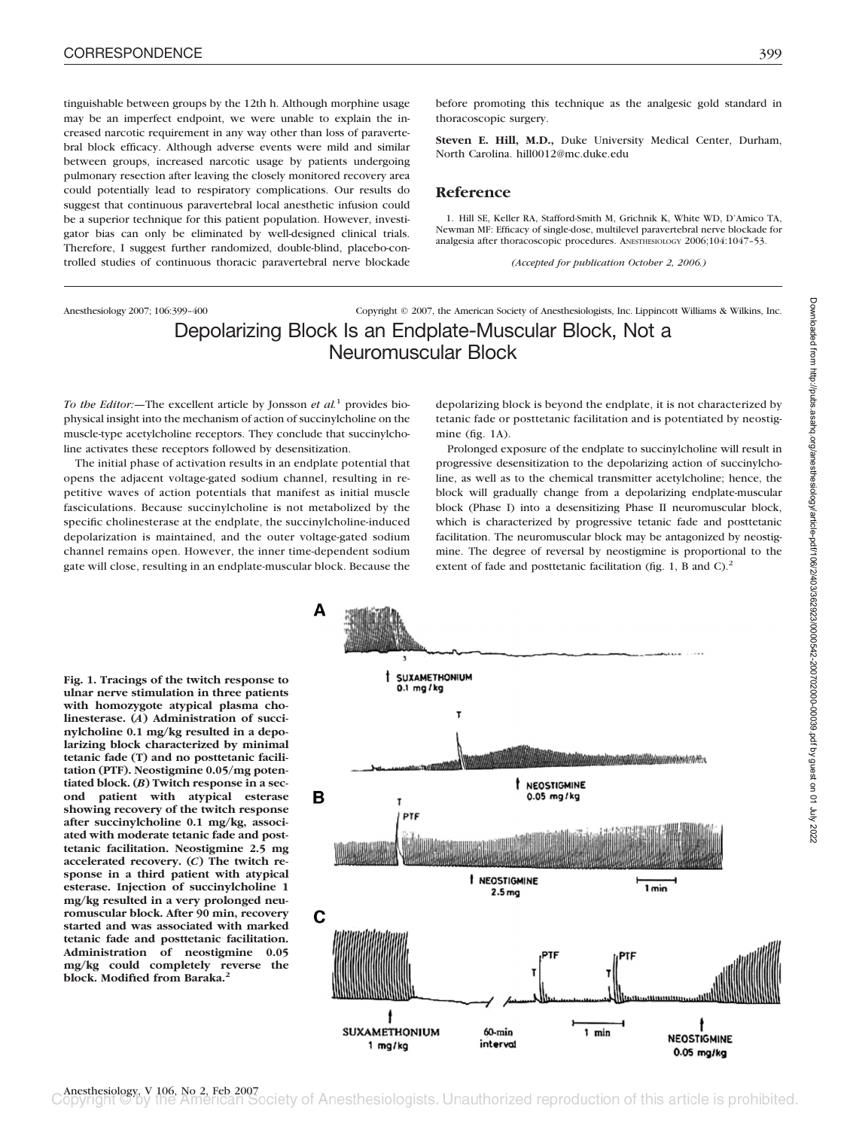tinguishable between groups by the 12th h. Although morphine usage may be an imperfect endpoint, we were unable to explain the increased narcotic requirement in any way other than loss of paravertebral block efficacy. Although adverse events were mild and similar between groups, increased narcotic usage by patients undergoing pulmonary resection after leaving the closely monitored recovery area could potentially lead to respiratory complications. Our results do suggest that continuous paravertebral local anesthetic infusion could be a superior technique for this patient population. However, investigator bias can only be eliminated by well-designed clinical trials. Therefore, I suggest further randomized, double-blind, placebo-controlled studies of continuous thoracic paravertebral nerve blockade before promoting this technique as the analgesic gold standard in thoracoscopic surgery.

**Steven E. Hill, M.D.,** Duke University Medical Center, Durham, North Carolina. hill0012@mc.duke.edu

## **Reference**

1. Hill SE, Keller RA, Stafford-Smith M, Grichnik K, White WD, D'Amico TA, Newman MF: Efficacy of single-dose, multilevel paravertebral nerve blockade for analgesia after thoracoscopic procedures. ANESTHESIOLOGY 2006;104:1047–53.

*(Accepted for publication October 2, 2006.)*

Anesthesiology 2007; 106:399–400 Copyright © 2007, the American Society of Anesthesiologists, Inc. Lippincott Williams & Wilkins, Inc.

# Depolarizing Block Is an Endplate-Muscular Block, Not a Neuromuscular Block

*To the Editor:—*The excellent article by Jonsson *et al.*<sup>1</sup> provides biophysical insight into the mechanism of action of succinylcholine on the muscle-type acetylcholine receptors. They conclude that succinylcholine activates these receptors followed by desensitization.

The initial phase of activation results in an endplate potential that opens the adjacent voltage-gated sodium channel, resulting in repetitive waves of action potentials that manifest as initial muscle fasciculations. Because succinylcholine is not metabolized by the specific cholinesterase at the endplate, the succinylcholine-induced depolarization is maintained, and the outer voltage-gated sodium channel remains open. However, the inner time-dependent sodium gate will close, resulting in an endplate-muscular block. Because the

depolarizing block is beyond the endplate, it is not characterized by tetanic fade or posttetanic facilitation and is potentiated by neostigmine (fig. 1A).

Prolonged exposure of the endplate to succinylcholine will result in progressive desensitization to the depolarizing action of succinylcholine, as well as to the chemical transmitter acetylcholine; hence, the block will gradually change from a depolarizing endplate-muscular block (Phase I) into a desensitizing Phase II neuromuscular block, which is characterized by progressive tetanic fade and posttetanic facilitation. The neuromuscular block may be antagonized by neostigmine. The degree of reversal by neostigmine is proportional to the extent of fade and posttetanic facilitation (fig. 1, B and C).<sup>2</sup>

**Fig. 1. Tracings of the twitch response to ulnar nerve stimulation in three patients with homozygote atypical plasma cholinesterase. (***A***) Administration of succinylcholine 0.1 mg/kg resulted in a depolarizing block characterized by minimal tetanic fade (T) and no posttetanic facilitation (PTF). Neostigmine 0.05/mg potentiated block. (***B***) Twitch response in a second patient with atypical esterase showing recovery of the twitch response after succinylcholine 0.1 mg/kg, associated with moderate tetanic fade and posttetanic facilitation. Neostigmine 2.5 mg accelerated recovery. (***C***) The twitch response in a third patient with atypical esterase. Injection of succinylcholine 1 mg/kg resulted in a very prolonged neuromuscular block. After 90 min, recovery started and was associated with marked tetanic fade and posttetanic facilitation. Administration of neostigmine 0.05 mg/kg could completely reverse the block. Modified from Baraka.2**

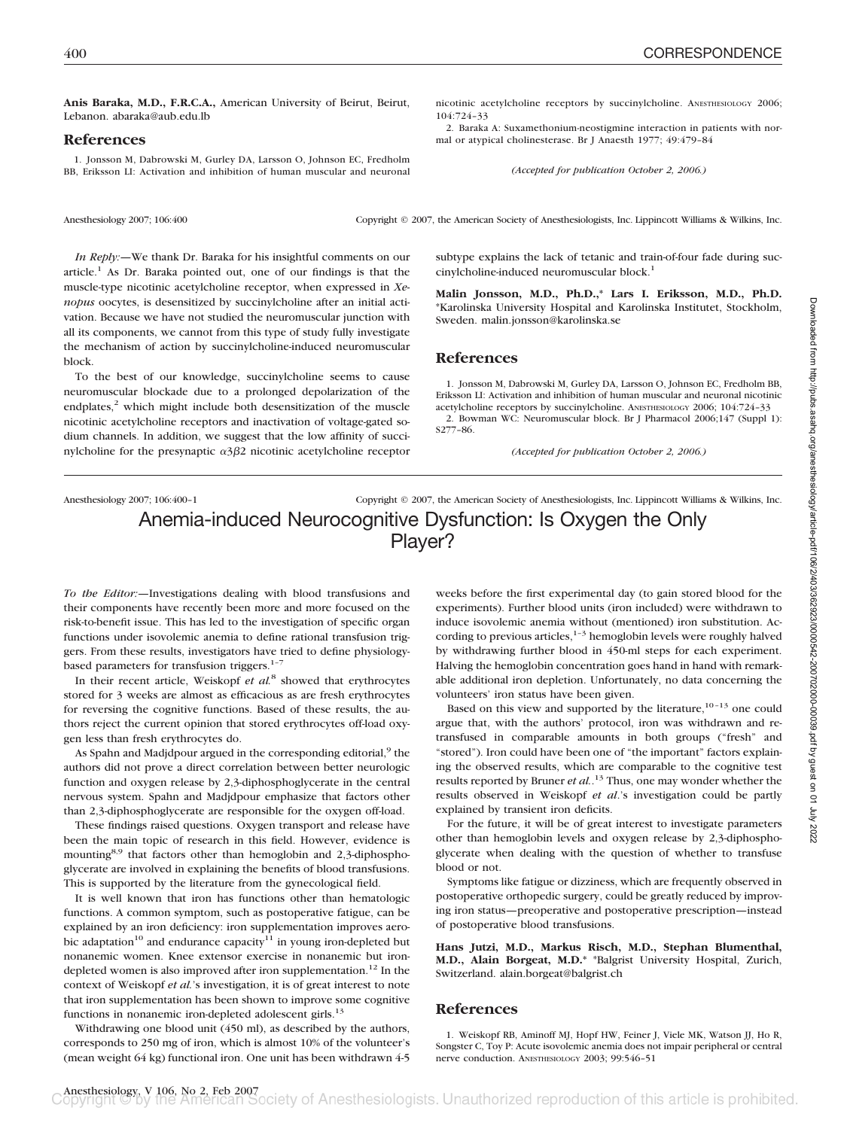**Anis Baraka, M.D., F.R.C.A.,** American University of Beirut, Beirut, Lebanon. abaraka@aub.edu.lb

#### **References**

1. Jonsson M, Dabrowski M, Gurley DA, Larsson O, Johnson EC, Fredholm BB, Eriksson LI: Activation and inhibition of human muscular and neuronal

Anesthesiology 2007; 106:400 Copyright © 2007, the American Society of Anesthesiologists, Inc. Lippincott Williams & Wilkins, Inc.

*In Reply:—*We thank Dr. Baraka for his insightful comments on our article.<sup>1</sup> As Dr. Baraka pointed out, one of our findings is that the muscle-type nicotinic acetylcholine receptor, when expressed in *Xenopus* oocytes, is desensitized by succinylcholine after an initial activation. Because we have not studied the neuromuscular junction with all its components, we cannot from this type of study fully investigate the mechanism of action by succinylcholine-induced neuromuscular block.

To the best of our knowledge, succinylcholine seems to cause neuromuscular blockade due to a prolonged depolarization of the endplates, $2$  which might include both desensitization of the muscle nicotinic acetylcholine receptors and inactivation of voltage-gated sodium channels. In addition, we suggest that the low affinity of succinylcholine for the presynaptic  $\alpha$ 3 $\beta$ 2 nicotinic acetylcholine receptor

subtype explains the lack of tetanic and train-of-four fade during succinylcholine-induced neuromuscular block $^{-1}$ 

**Malin Jonsson, M.D., Ph.D.,\* Lars I. Eriksson, M.D., Ph.D.** \*Karolinska University Hospital and Karolinska Institutet, Stockholm, Sweden. malin.jonsson@karolinska.se

#### **References**

1. Jonsson M, Dabrowski M, Gurley DA, Larsson O, Johnson EC, Fredholm BB, Eriksson LI: Activation and inhibition of human muscular and neuronal nicotinic acetylcholine receptors by succinylcholine. ANESTHESIOLOGY 2006; 104:724-33 2. Bowman WC: Neuromuscular block. Br J Pharmacol 2006;147 (Suppl 1): S277–86.

*(Accepted for publication October 2, 2006.)*

Anesthesiology 2007; 106:400–1 Copyright © 2007, the American Society of Anesthesiologists, Inc. Lippincott Williams & Wilkins, Inc.

# Anemia-induced Neurocognitive Dysfunction: Is Oxygen the Only Player?

*To the Editor:—*Investigations dealing with blood transfusions and their components have recently been more and more focused on the risk-to-benefit issue. This has led to the investigation of specific organ functions under isovolemic anemia to define rational transfusion triggers. From these results, investigators have tried to define physiologybased parameters for transfusion triggers.<sup>1-7</sup>

In their recent article, Weiskopf *et al.*<sup>8</sup> showed that erythrocytes stored for 3 weeks are almost as efficacious as are fresh erythrocytes for reversing the cognitive functions. Based of these results, the authors reject the current opinion that stored erythrocytes off-load oxygen less than fresh erythrocytes do.

As Spahn and Madjdpour argued in the corresponding editorial,<sup>9</sup> the authors did not prove a direct correlation between better neurologic function and oxygen release by 2,3-diphosphoglycerate in the central nervous system. Spahn and Madjdpour emphasize that factors other than 2,3-diphosphoglycerate are responsible for the oxygen off-load.

These findings raised questions. Oxygen transport and release have been the main topic of research in this field. However, evidence is mounting8,9 that factors other than hemoglobin and 2,3-diphosphoglycerate are involved in explaining the benefits of blood transfusions. This is supported by the literature from the gynecological field.

It is well known that iron has functions other than hematologic functions. A common symptom, such as postoperative fatigue, can be explained by an iron deficiency: iron supplementation improves aerobic adaptation<sup>10</sup> and endurance capacity<sup>11</sup> in young iron-depleted but nonanemic women. Knee extensor exercise in nonanemic but irondepleted women is also improved after iron supplementation.<sup>12</sup> In the context of Weiskopf *et al.*'s investigation, it is of great interest to note that iron supplementation has been shown to improve some cognitive functions in nonanemic iron-depleted adolescent girls.<sup>13</sup>

Withdrawing one blood unit (450 ml), as described by the authors, corresponds to 250 mg of iron, which is almost 10% of the volunteer's (mean weight 64 kg) functional iron. One unit has been withdrawn 4-5

weeks before the first experimental day (to gain stored blood for the experiments). Further blood units (iron included) were withdrawn to induce isovolemic anemia without (mentioned) iron substitution. According to previous articles, $1-3$  hemoglobin levels were roughly halved by withdrawing further blood in 450-ml steps for each experiment. Halving the hemoglobin concentration goes hand in hand with remarkable additional iron depletion. Unfortunately, no data concerning the volunteers' iron status have been given.

Based on this view and supported by the literature,  $10-13$  one could argue that, with the authors' protocol, iron was withdrawn and retransfused in comparable amounts in both groups ("fresh" and "stored"). Iron could have been one of "the important" factors explaining the observed results, which are comparable to the cognitive test results reported by Bruner *et al.*. <sup>13</sup> Thus, one may wonder whether the results observed in Weiskopf *et al*.'s investigation could be partly explained by transient iron deficits.

For the future, it will be of great interest to investigate parameters other than hemoglobin levels and oxygen release by 2,3-diphosphoglycerate when dealing with the question of whether to transfuse blood or not.

Symptoms like fatigue or dizziness, which are frequently observed in postoperative orthopedic surgery, could be greatly reduced by improving iron status—preoperative and postoperative prescription—instead of postoperative blood transfusions.

**Hans Jutzi, M.D., Markus Risch, M.D., Stephan Blumenthal, M.D., Alain Borgeat, M.D.\*** \*Balgrist University Hospital, Zurich, Switzerland. alain.borgeat@balgrist.ch

## **References**

1. Weiskopf RB, Aminoff MJ, Hopf HW, Feiner J, Viele MK, Watson JJ, Ho R, Songster C, Toy P: Acute isovolemic anemia does not impair peripheral or central nerve conduction. ANESTHESIOLOGY 2003; 99:546–51

nicotinic acetylcholine receptors by succinylcholine. ANESTHESIOLOGY 2006; 104:724–33 2. Baraka A: Suxamethonium-neostigmine interaction in patients with nor-

mal or atypical cholinesterase. Br J Anaesth 1977; 49:479–84

*(Accepted for publication October 2, 2006.)*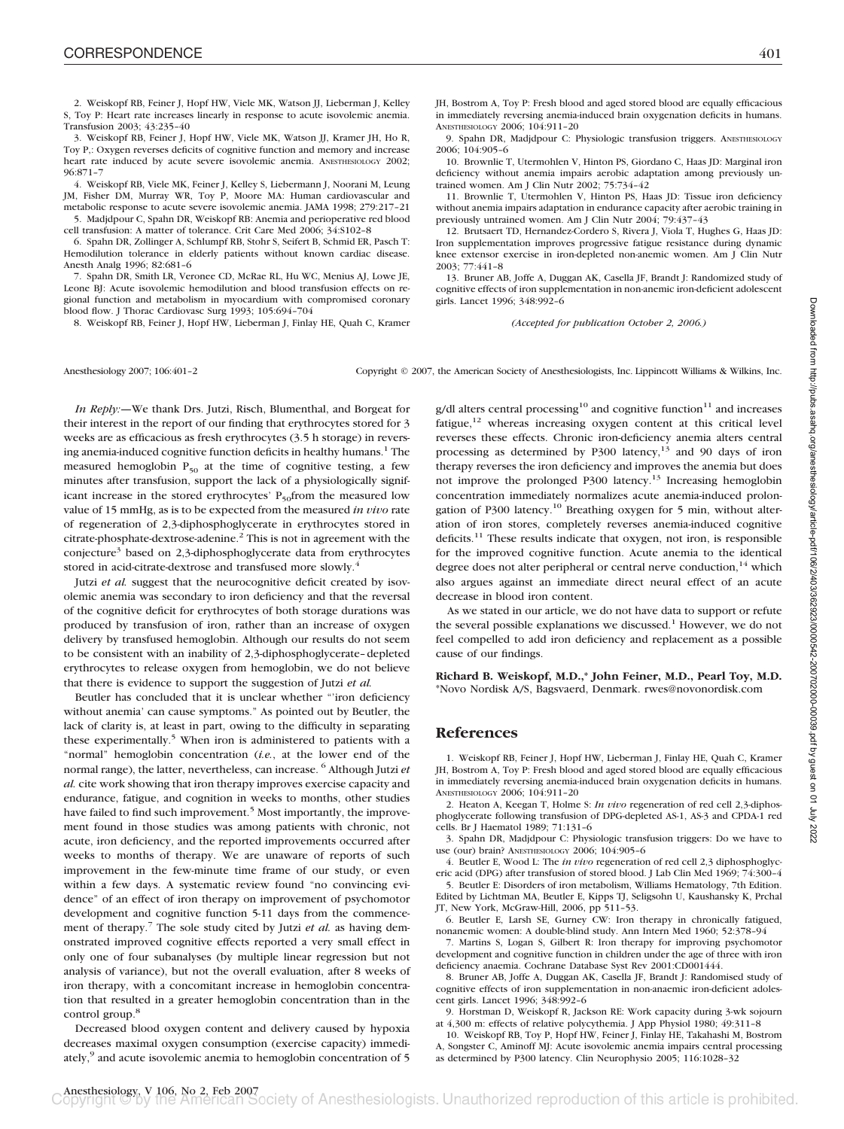2. Weiskopf RB, Feiner J, Hopf HW, Viele MK, Watson JJ, Lieberman J, Kelley S, Toy P: Heart rate increases linearly in response to acute isovolemic anemia. Transfusion 2003; 43:235–40

3. Weiskopf RB, Feiner J, Hopf HW, Viele MK, Watson JJ, Kramer JH, Ho R, Toy P,: Oxygen reverses deficits of cognitive function and memory and increase heart rate induced by acute severe isovolemic anemia. ANESTHESIOLOGY 2002; 96:871–7

4. Weiskopf RB, Viele MK, Feiner J, Kelley S, Liebermann J, Noorani M, Leung JM, Fisher DM, Murray WR, Toy P, Moore MA: Human cardiovascular and metabolic response to acute severe isovolemic anemia. JAMA 1998; 279:217–21 5. Madjdpour C, Spahn DR, Weiskopf RB: Anemia and perioperative red blood

cell transfusion: A matter of tolerance. Crit Care Med 2006; 34:S102–8

6. Spahn DR, Zollinger A, Schlumpf RB, Stohr S, Seifert B, Schmid ER, Pasch T: Hemodilution tolerance in elderly patients without known cardiac disease. Anesth Analg 1996; 82:681–6

7. Spahn DR, Smith LR, Veronee CD, McRae RL, Hu WC, Menius AJ, Lowe JE, Leone BJ: Acute isovolemic hemodilution and blood transfusion effects on regional function and metabolism in myocardium with compromised coronary blood flow. J Thorac Cardiovasc Surg 1993; 105:694–704

8. Weiskopf RB, Feiner J, Hopf HW, Lieberman J, Finlay HE, Quah C, Kramer

JH, Bostrom A, Toy P: Fresh blood and aged stored blood are equally efficacious in immediately reversing anemia-induced brain oxygenation deficits in humans. ANESTHESIOLOGY 2006; 104:911–20

9. Spahn DR, Madjdpour C: Physiologic transfusion triggers. ANESTHESIOLOGY 2006; 104:905–6

10. Brownlie T, Utermohlen V, Hinton PS, Giordano C, Haas JD: Marginal iron deficiency without anemia impairs aerobic adaptation among previously untrained women. Am J Clin Nutr 2002; 75:734–42

11. Brownlie T, Utermohlen V, Hinton PS, Haas JD: Tissue iron deficiency without anemia impairs adaptation in endurance capacity after aerobic training in previously untrained women. Am J Clin Nutr 2004; 79:437–43

12. Brutsaert TD, Hernandez-Cordero S, Rivera J, Viola T, Hughes G, Haas JD: Iron supplementation improves progressive fatigue resistance during dynamic knee extensor exercise in iron-depleted non-anemic women. Am J Clin Nutr 2003; 77:441–8

13. Bruner AB, Joffe A, Duggan AK, Casella JF, Brandt J: Randomized study of cognitive effects of iron supplementation in non-anemic iron-deficient adolescent girls. Lancet 1996; 348:992–6

*(Accepted for publication October 2, 2006.)*

Anesthesiology 2007; 106:401-2 Copyright © 2007, the American Society of Anesthesiologists, Inc. Lippincott Williams & Wilkins, Inc.

*In Reply:—*We thank Drs. Jutzi, Risch, Blumenthal, and Borgeat for their interest in the report of our finding that erythrocytes stored for 3 weeks are as efficacious as fresh erythrocytes (3.5 h storage) in reversing anemia-induced cognitive function deficits in healthy humans.<sup>1</sup> The measured hemoglobin  $P_{50}$  at the time of cognitive testing, a few minutes after transfusion, support the lack of a physiologically significant increase in the stored erythrocytes'  $P_{50}$ from the measured low value of 15 mmHg, as is to be expected from the measured *in vivo* rate of regeneration of 2,3-diphosphoglycerate in erythrocytes stored in citrate-phosphate-dextrose-adenine.2 This is not in agreement with the conjecture3 based on 2,3-diphosphoglycerate data from erythrocytes stored in acid-citrate-dextrose and transfused more slowly.<sup>4</sup>

Jutzi *et al.* suggest that the neurocognitive deficit created by isovolemic anemia was secondary to iron deficiency and that the reversal of the cognitive deficit for erythrocytes of both storage durations was produced by transfusion of iron, rather than an increase of oxygen delivery by transfused hemoglobin. Although our results do not seem to be consistent with an inability of 2,3-diphosphoglycerate–depleted erythrocytes to release oxygen from hemoglobin, we do not believe that there is evidence to support the suggestion of Jutzi *et al.*

Beutler has concluded that it is unclear whether "'iron deficiency without anemia' can cause symptoms." As pointed out by Beutler, the lack of clarity is, at least in part, owing to the difficulty in separating these experimentally.<sup>5</sup> When iron is administered to patients with a "normal" hemoglobin concentration (*i.e.*, at the lower end of the normal range), the latter, nevertheless, can increase. <sup>6</sup> Although Jutzi *et al.* cite work showing that iron therapy improves exercise capacity and endurance, fatigue, and cognition in weeks to months, other studies have failed to find such improvement.<sup>5</sup> Most importantly, the improvement found in those studies was among patients with chronic, not acute, iron deficiency, and the reported improvements occurred after weeks to months of therapy. We are unaware of reports of such improvement in the few-minute time frame of our study, or even within a few days. A systematic review found "no convincing evidence" of an effect of iron therapy on improvement of psychomotor development and cognitive function 5-11 days from the commencement of therapy.<sup>7</sup> The sole study cited by Jutzi *et al.* as having demonstrated improved cognitive effects reported a very small effect in only one of four subanalyses (by multiple linear regression but not analysis of variance), but not the overall evaluation, after 8 weeks of iron therapy, with a concomitant increase in hemoglobin concentration that resulted in a greater hemoglobin concentration than in the control group.<sup>8</sup>

Decreased blood oxygen content and delivery caused by hypoxia decreases maximal oxygen consumption (exercise capacity) immediately,<sup>9</sup> and acute isovolemic anemia to hemoglobin concentration of 5

g/dl alters central processing<sup>10</sup> and cognitive function<sup>11</sup> and increases fatigue, $12$  whereas increasing oxygen content at this critical level reverses these effects. Chronic iron-deficiency anemia alters central processing as determined by P300 latency,<sup>13</sup> and 90 days of iron therapy reverses the iron deficiency and improves the anemia but does not improve the prolonged P300 latency.<sup>13</sup> Increasing hemoglobin concentration immediately normalizes acute anemia-induced prolongation of P300 latency.<sup>10</sup> Breathing oxygen for 5 min, without alteration of iron stores, completely reverses anemia-induced cognitive deficits.<sup>11</sup> These results indicate that oxygen, not iron, is responsible for the improved cognitive function. Acute anemia to the identical degree does not alter peripheral or central nerve conduction,<sup>14</sup> which also argues against an immediate direct neural effect of an acute decrease in blood iron content.

As we stated in our article, we do not have data to support or refute the several possible explanations we discussed.<sup>1</sup> However, we do not feel compelled to add iron deficiency and replacement as a possible cause of our findings.

**Richard B. Weiskopf, M.D.,\* John Feiner, M.D., Pearl Toy, M.D.** \*Novo Nordisk A/S, Bagsvaerd, Denmark. rwes@novonordisk.com

### **References**

1. Weiskopf RB, Feiner J, Hopf HW, Lieberman J, Finlay HE, Quah C, Kramer JH, Bostrom A, Toy P: Fresh blood and aged stored blood are equally efficacious in immediately reversing anemia-induced brain oxygenation deficits in humans. ANESTHESIOLOGY 2006; 104:911–20

2. Heaton A, Keegan T, Holme S: *In vivo* regeneration of red cell 2,3-diphosphoglycerate following transfusion of DPG-depleted AS-1, AS-3 and CPDA-1 red cells. Br J Haematol 1989; 71:131–6

3. Spahn DR, Madjdpour C: Physiologic transfusion triggers: Do we have to use (our) brain? ANESTHESIOLOGY 2006; 104:905–6

4. Beutler E, Wood L: The *in vivo* regeneration of red cell 2,3 diphosphoglyceric acid (DPG) after transfusion of stored blood. J Lab Clin Med 1969; 74:300–4

5. Beutler E: Disorders of iron metabolism, Williams Hematology, 7th Edition. Edited by Lichtman MA, Beutler E, Kipps TJ, Seligsohn U, Kaushansky K, Prchal JT, New York, McGraw-Hill, 2006, pp 511–53.

6. Beutler E, Larsh SE, Gurney CW: Iron therapy in chronically fatigued, nonanemic women: A double-blind study. Ann Intern Med 1960; 52:378–94

7. Martins S, Logan S, Gilbert R: Iron therapy for improving psychomotor development and cognitive function in children under the age of three with iron deficiency anaemia. Cochrane Database Syst Rev 2001:CD001444.

8. Bruner AB, Joffe A, Duggan AK, Casella JF, Brandt J: Randomised study of cognitive effects of iron supplementation in non-anaemic iron-deficient adolescent girls. Lancet 1996; 348:992–6

9. Horstman D, Weiskopf R, Jackson RE: Work capacity during 3-wk sojourn at 4,300 m: effects of relative polycythemia. J App Physiol 1980; 49:311–8

10. Weiskopf RB, Toy P, Hopf HW, Feiner J, Finlay HE, Takahashi M, Bostrom A, Songster C, Aminoff MJ: Acute isovolemic anemia impairs central processing

as determined by P300 latency. Clin Neurophysio 2005; 116:1028–32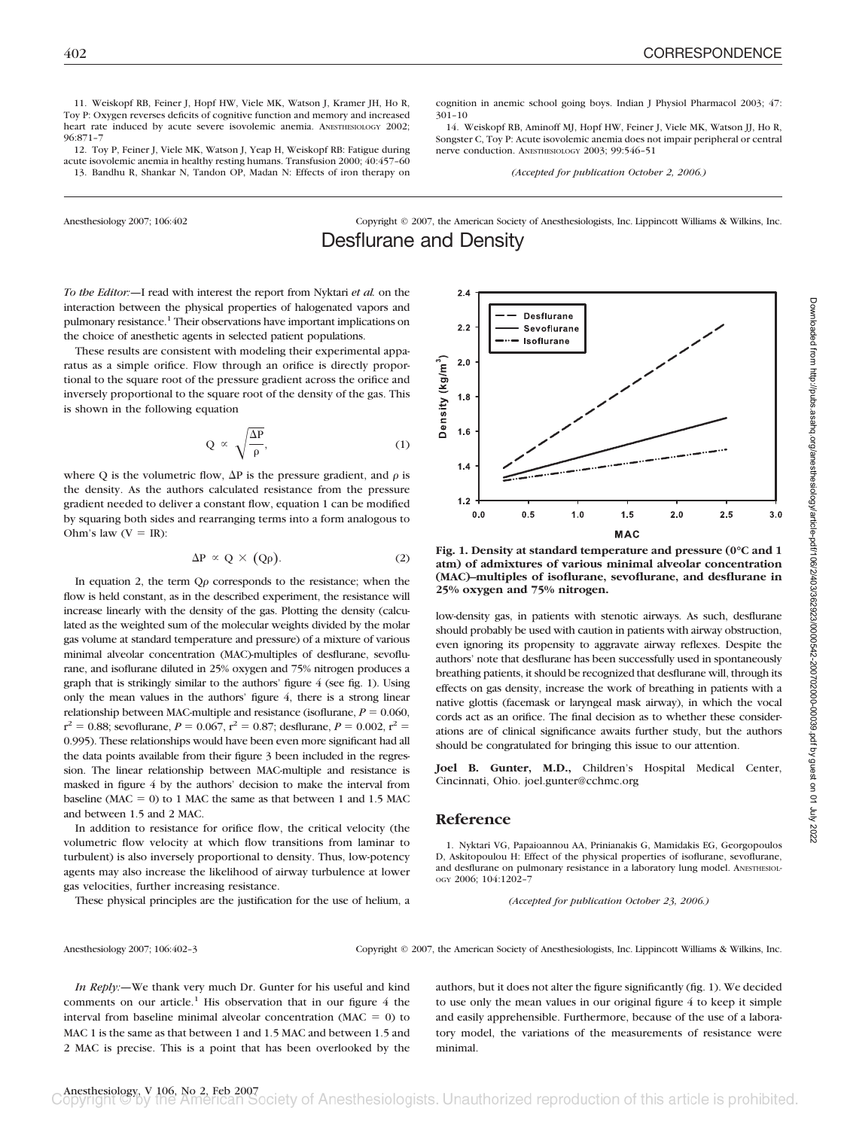11. Weiskopf RB, Feiner J, Hopf HW, Viele MK, Watson J, Kramer JH, Ho R, Toy P: Oxygen reverses deficits of cognitive function and memory and increased heart rate induced by acute severe isovolemic anemia. ANESTHESIOLOGY 2002; 96:871–7

12. Toy P, Feiner J, Viele MK, Watson J, Yeap H, Weiskopf RB: Fatigue during acute isovolemic anemia in healthy resting humans. Transfusion 2000; 40:457–60 13. Bandhu R, Shankar N, Tandon OP, Madan N: Effects of iron therapy on

Anesthesiology 2007; 106:402 Copyright © 2007, the American Society of Anesthesiologists, Inc. Lippincott Williams & Wilkins, Inc.

nerve conduction. ANESTHESIOLOGY 2003; 99:546–51



301–10

*To the Editor:—*I read with interest the report from Nyktari *et al.* on the interaction between the physical properties of halogenated vapors and pulmonary resistance.<sup>1</sup> Their observations have important implications on the choice of anesthetic agents in selected patient populations.

These results are consistent with modeling their experimental apparatus as a simple orifice. Flow through an orifice is directly proportional to the square root of the pressure gradient across the orifice and inversely proportional to the square root of the density of the gas. This is shown in the following equation

$$
Q \propto \sqrt{\frac{\Delta P}{\rho}},\tag{1}
$$

where Q is the volumetric flow,  $\Delta P$  is the pressure gradient, and  $\rho$  is the density. As the authors calculated resistance from the pressure gradient needed to deliver a constant flow, equation 1 can be modified by squaring both sides and rearranging terms into a form analogous to Ohm's law  $(V = IR)$ :

$$
\Delta P \propto Q \times (Q\rho). \tag{2}
$$

In equation 2, the term  $Q\rho$  corresponds to the resistance; when the flow is held constant, as in the described experiment, the resistance will increase linearly with the density of the gas. Plotting the density (calculated as the weighted sum of the molecular weights divided by the molar gas volume at standard temperature and pressure) of a mixture of various minimal alveolar concentration (MAC)-multiples of desflurane, sevoflurane, and isoflurane diluted in 25% oxygen and 75% nitrogen produces a graph that is strikingly similar to the authors' figure 4 (see fig. 1). Using only the mean values in the authors' figure 4, there is a strong linear relationship between MAC-multiple and resistance (isoflurane,  $P = 0.060$ ,  $r^2 = 0.88$ ; sevoflurane,  $P = 0.067$ ,  $r^2 = 0.87$ ; desflurane,  $P = 0.002$ ,  $r^2 =$ 0.995). These relationships would have been even more significant had all the data points available from their figure 3 been included in the regression. The linear relationship between MAC-multiple and resistance is masked in figure 4 by the authors' decision to make the interval from baseline ( $MAC = 0$ ) to 1 MAC the same as that between 1 and 1.5 MAC and between 1.5 and 2 MAC.

In addition to resistance for orifice flow, the critical velocity (the volumetric flow velocity at which flow transitions from laminar to turbulent) is also inversely proportional to density. Thus, low-potency agents may also increase the likelihood of airway turbulence at lower gas velocities, further increasing resistance.

These physical principles are the justification for the use of helium, a



cognition in anemic school going boys. Indian J Physiol Pharmacol 2003; 47:

14. Weiskopf RB, Aminoff MJ, Hopf HW, Feiner J, Viele MK, Watson JJ, Ho R, Songster C, Toy P: Acute isovolemic anemia does not impair peripheral or central

*(Accepted for publication October 2, 2006.)*

**Fig. 1. Density at standard temperature and pressure (0°C and 1 atm) of admixtures of various minimal alveolar concentration (MAC)–multiples of isoflurane, sevoflurane, and desflurane in 25% oxygen and 75% nitrogen.**

low-density gas, in patients with stenotic airways. As such, desflurane should probably be used with caution in patients with airway obstruction, even ignoring its propensity to aggravate airway reflexes. Despite the authors' note that desflurane has been successfully used in spontaneously breathing patients, it should be recognized that desflurane will, through its effects on gas density, increase the work of breathing in patients with a native glottis (facemask or laryngeal mask airway), in which the vocal cords act as an orifice. The final decision as to whether these considerations are of clinical significance awaits further study, but the authors should be congratulated for bringing this issue to our attention.

**Joel B. Gunter, M.D.,** Children's Hospital Medical Center, Cincinnati, Ohio. joel.gunter@cchmc.org

### **Reference**

1. Nyktari VG, Papaioannou AA, Prinianakis G, Mamidakis EG, Georgopoulos D, Askitopoulou H: Effect of the physical properties of isoflurane, sevoflurane, and desflurane on pulmonary resistance in a laboratory lung model. ANESTHESIOL-OGY 2006; 104:1202–7

*(Accepted for publication October 23, 2006.)*

Anesthesiology 2007; 106:402–3 Copyright © 2007, the American Society of Anesthesiologists, Inc. Lippincott Williams & Wilkins, Inc.

*In Reply:—*We thank very much Dr. Gunter for his useful and kind comments on our article.<sup>1</sup> His observation that in our figure 4 the interval from baseline minimal alveolar concentration ( $MAC = 0$ ) to MAC 1 is the same as that between 1 and 1.5 MAC and between 1.5 and 2 MAC is precise. This is a point that has been overlooked by the authors, but it does not alter the figure significantly (fig. 1). We decided to use only the mean values in our original figure 4 to keep it simple and easily apprehensible. Furthermore, because of the use of a laboratory model, the variations of the measurements of resistance were minimal.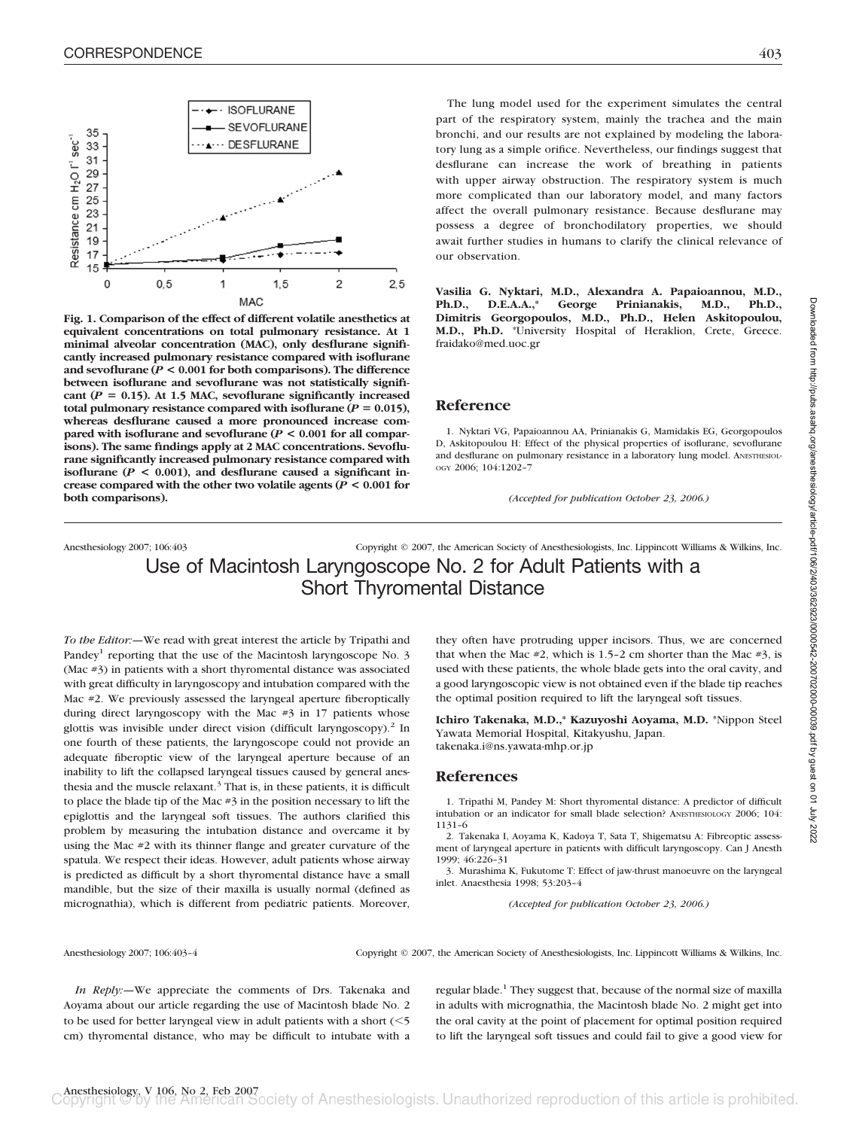

**Fig. 1. Comparison of the effect of different volatile anesthetics at equivalent concentrations on total pulmonary resistance. At 1 minimal alveolar concentration (MAC), only desflurane significantly increased pulmonary resistance compared with isoflurane and sevoflurane (***P* **< 0.001 for both comparisons). The difference between isoflurane and sevoflurane was not statistically signifi**cant  $(P = 0.15)$ . At 1.5 MAC, sevoflurane significantly increased total pulmonary resistance compared with isoflurane  $(P = 0.015)$ , **whereas desflurane caused a more pronounced increase compared with isoflurane and sevoflurane (***P* **< 0.001 for all comparisons). The same findings apply at 2 MAC concentrations. Sevoflurane significantly increased pulmonary resistance compared with isoflurane (***P* **< 0.001), and desflurane caused a significant increase compared with the other two volatile agents (***P* **< 0.001 for both comparisons).**

The lung model used for the experiment simulates the central part of the respiratory system, mainly the trachea and the main bronchi, and our results are not explained by modeling the laboratory lung as a simple orifice. Nevertheless, our findings suggest that desflurane can increase the work of breathing in patients with upper airway obstruction. The respiratory system is much more complicated than our laboratory model, and many factors affect the overall pulmonary resistance. Because desflurane may possess a degree of bronchodilatory properties, we should await further studies in humans to clarify the clinical relevance of our observation.

**Vasilia G. Nyktari, M.D., Alexandra A. Papaioannou, M.D., Ph.D., D.E.A.A.,\* George Prinianakis, M.D., Ph.D., Dimitris Georgopoulos, M.D., Ph.D., Helen Askitopoulou, M.D., Ph.D.** \*University Hospital of Heraklion, Crete, Greece. fraidako@med.uoc.gr

#### **Reference**

1. Nyktari VG, Papaioannou AA, Prinianakis G, Mamidakis EG, Georgopoulos D, Askitopoulou H: Effect of the physical properties of isoflurane, sevoflurane and desflurane on pulmonary resistance in a laboratory lung model. ANESTHESIOL-OGY 2006; 104:1202–7

*(Accepted for publication October 23, 2006.)*

Anesthesiology 2007; 106:403 Copyright © 2007, the American Society of Anesthesiologists, Inc. Lippincott Williams & Wilkins, Inc.

Use of Macintosh Laryngoscope No. 2 for Adult Patients with a Short Thyromental Distance

*To the Editor:—*We read with great interest the article by Tripathi and Pandey<sup>1</sup> reporting that the use of the Macintosh laryngoscope No.  $3$ (Mac #3) in patients with a short thyromental distance was associated with great difficulty in laryngoscopy and intubation compared with the Mac #2. We previously assessed the laryngeal aperture fiberoptically during direct laryngoscopy with the Mac #3 in 17 patients whose glottis was invisible under direct vision (difficult laryngoscopy).<sup>2</sup> In one fourth of these patients, the laryngoscope could not provide an adequate fiberoptic view of the laryngeal aperture because of an inability to lift the collapsed laryngeal tissues caused by general anesthesia and the muscle relaxant. $3$  That is, in these patients, it is difficult to place the blade tip of the Mac #3 in the position necessary to lift the epiglottis and the laryngeal soft tissues. The authors clarified this problem by measuring the intubation distance and overcame it by using the Mac #2 with its thinner flange and greater curvature of the spatula. We respect their ideas. However, adult patients whose airway is predicted as difficult by a short thyromental distance have a small mandible, but the size of their maxilla is usually normal (defined as micrognathia), which is different from pediatric patients. Moreover, they often have protruding upper incisors. Thus, we are concerned that when the Mac  $\#2$ , which is 1.5–2 cm shorter than the Mac  $\#3$ , is used with these patients, the whole blade gets into the oral cavity, and a good laryngoscopic view is not obtained even if the blade tip reaches the optimal position required to lift the laryngeal soft tissues.

**Ichiro Takenaka, M.D.,\* Kazuyoshi Aoyama, M.D.** \*Nippon Steel Yawata Memorial Hospital, Kitakyushu, Japan.

takenaka.i@ns.yawata-mhp.or.jp

#### **References**

1. Tripathi M, Pandey M: Short thyromental distance: A predictor of difficult intubation or an indicator for small blade selection? ANESTHESIOLOGY 2006; 104: 1131–6

2. Takenaka I, Aoyama K, Kadoya T, Sata T, Shigematsu A: Fibreoptic assessment of laryngeal aperture in patients with difficult laryngoscopy. Can J Anesth 1999; 46:226–31

3. Murashima K, Fukutome T: Effect of jaw-thrust manoeuvre on the laryngeal inlet. Anaesthesia 1998; 53:203–4

*(Accepted for publication October 23, 2006.)*

Anesthesiology 2007; 106:403–4 Copyright © 2007, the American Society of Anesthesiologists, Inc. Lippincott Williams & Wilkins, Inc.

*In Reply:*—We appreciate the comments of Drs. Takenaka and Aoyama about our article regarding the use of Macintosh blade No. 2 to be used for better laryngeal view in adult patients with a short  $(<$  5 cm) thyromental distance, who may be difficult to intubate with a regular blade.<sup>1</sup> They suggest that, because of the normal size of maxilla in adults with micrognathia, the Macintosh blade No. 2 might get into the oral cavity at the point of placement for optimal position required to lift the laryngeal soft tissues and could fail to give a good view for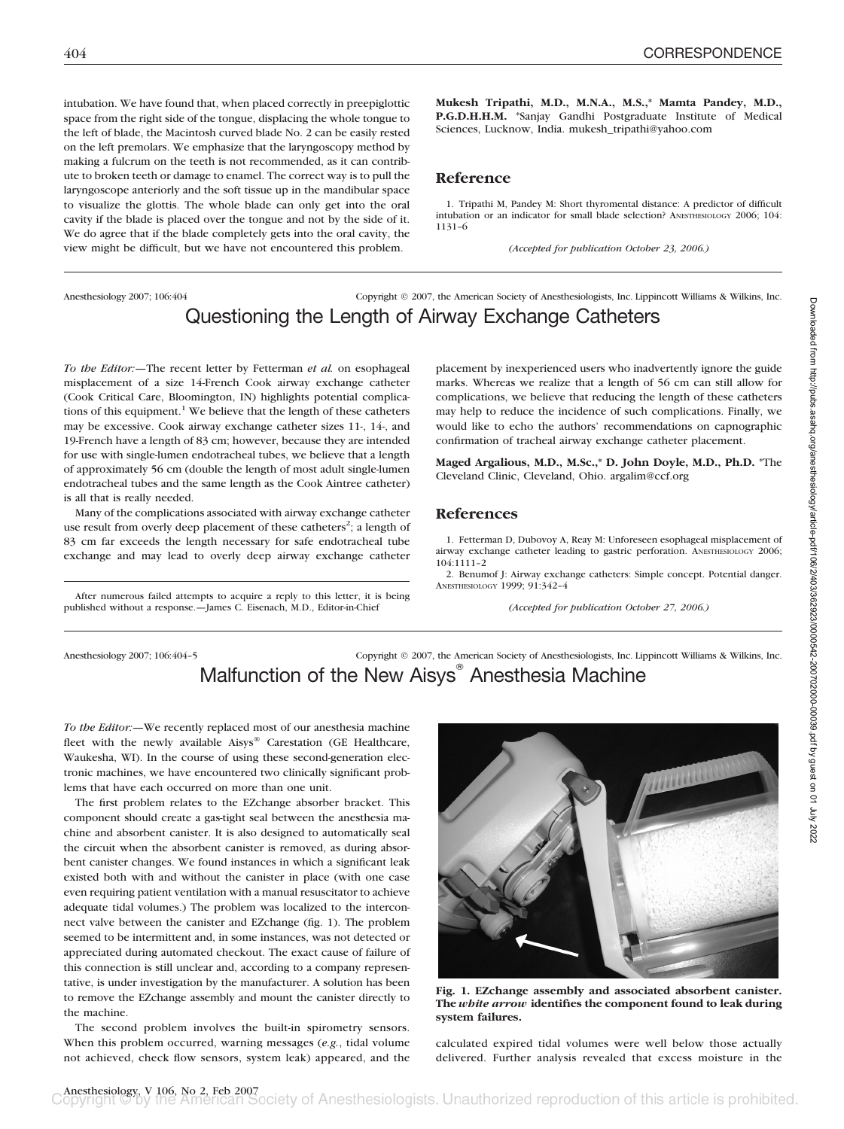intubation. We have found that, when placed correctly in preepiglottic space from the right side of the tongue, displacing the whole tongue to the left of blade, the Macintosh curved blade No. 2 can be easily rested on the left premolars. We emphasize that the laryngoscopy method by making a fulcrum on the teeth is not recommended, as it can contribute to broken teeth or damage to enamel. The correct way is to pull the laryngoscope anteriorly and the soft tissue up in the mandibular space to visualize the glottis. The whole blade can only get into the oral cavity if the blade is placed over the tongue and not by the side of it. We do agree that if the blade completely gets into the oral cavity, the view might be difficult, but we have not encountered this problem.

**Mukesh Tripathi, M.D., M.N.A., M.S.,\* Mamta Pandey, M.D., P.G.D.H.H.M.** \*Sanjay Gandhi Postgraduate Institute of Medical Sciences, Lucknow, India. mukesh\_tripathi@yahoo.com

## **Reference**

1. Tripathi M, Pandey M: Short thyromental distance: A predictor of difficult intubation or an indicator for small blade selection? ANESTHESIOLOGY 2006; 104: 1131–6

*(Accepted for publication October 23, 2006.)*

# Anesthesiology 2007; 106:404 Copyright © 2007, the American Society of Anesthesiologists, Inc. Lippincott Williams & Wilkins, Inc. Questioning the Length of Airway Exchange Catheters

*To the Editor:—*The recent letter by Fetterman *et al.* on esophageal misplacement of a size 14-French Cook airway exchange catheter (Cook Critical Care, Bloomington, IN) highlights potential complications of this equipment.<sup>1</sup> We believe that the length of these catheters may be excessive. Cook airway exchange catheter sizes 11-, 14-, and 19-French have a length of 83 cm; however, because they are intended for use with single-lumen endotracheal tubes, we believe that a length of approximately 56 cm (double the length of most adult single-lumen endotracheal tubes and the same length as the Cook Aintree catheter) is all that is really needed.

Many of the complications associated with airway exchange catheter use result from overly deep placement of these catheters<sup>2</sup>; a length of 83 cm far exceeds the length necessary for safe endotracheal tube exchange and may lead to overly deep airway exchange catheter

After numerous failed attempts to acquire a reply to this letter, it is being published without a response.—James C. Eisenach, M.D., Editor-in-Chief

placement by inexperienced users who inadvertently ignore the guide marks. Whereas we realize that a length of 56 cm can still allow for complications, we believe that reducing the length of these catheters may help to reduce the incidence of such complications. Finally, we would like to echo the authors' recommendations on capnographic confirmation of tracheal airway exchange catheter placement.

**Maged Argalious, M.D., M.Sc.,\* D. John Doyle, M.D., Ph.D.** \*The Cleveland Clinic, Cleveland, Ohio. argalim@ccf.org

#### **References**

1. Fetterman D, Dubovoy A, Reay M: Unforeseen esophageal misplacement of airway exchange catheter leading to gastric perforation. ANESTHESIOLOGY 2006; 104:1111–2

2. Benumof J: Airway exchange catheters: Simple concept. Potential danger. ANESTHESIOLOGY 1999; 91:342–4

*(Accepted for publication October 27, 2006.)*

# Anesthesiology 2007; 106:404–5 Copyright © 2007, the American Society of Anesthesiologists, Inc. Lippincott Williams & Wilkins, Inc. Malfunction of the New Aisys<sup>®</sup> Anesthesia Machine

*To the Editor:—*We recently replaced most of our anesthesia machine fleet with the newly available Aisys® Carestation (GE Healthcare, Waukesha, WI). In the course of using these second-generation electronic machines, we have encountered two clinically significant problems that have each occurred on more than one unit.

The first problem relates to the EZchange absorber bracket. This component should create a gas-tight seal between the anesthesia machine and absorbent canister. It is also designed to automatically seal the circuit when the absorbent canister is removed, as during absorbent canister changes. We found instances in which a significant leak existed both with and without the canister in place (with one case even requiring patient ventilation with a manual resuscitator to achieve adequate tidal volumes.) The problem was localized to the interconnect valve between the canister and EZchange (fig. 1). The problem seemed to be intermittent and, in some instances, was not detected or appreciated during automated checkout. The exact cause of failure of this connection is still unclear and, according to a company representative, is under investigation by the manufacturer. A solution has been to remove the EZchange assembly and mount the canister directly to the machine.

The second problem involves the built-in spirometry sensors. When this problem occurred, warning messages (*e.g.*, tidal volume not achieved, check flow sensors, system leak) appeared, and the



**Fig. 1. EZchange assembly and associated absorbent canister. The** *white arrow* **identifies the component found to leak during system failures.**

calculated expired tidal volumes were well below those actually delivered. Further analysis revealed that excess moisture in the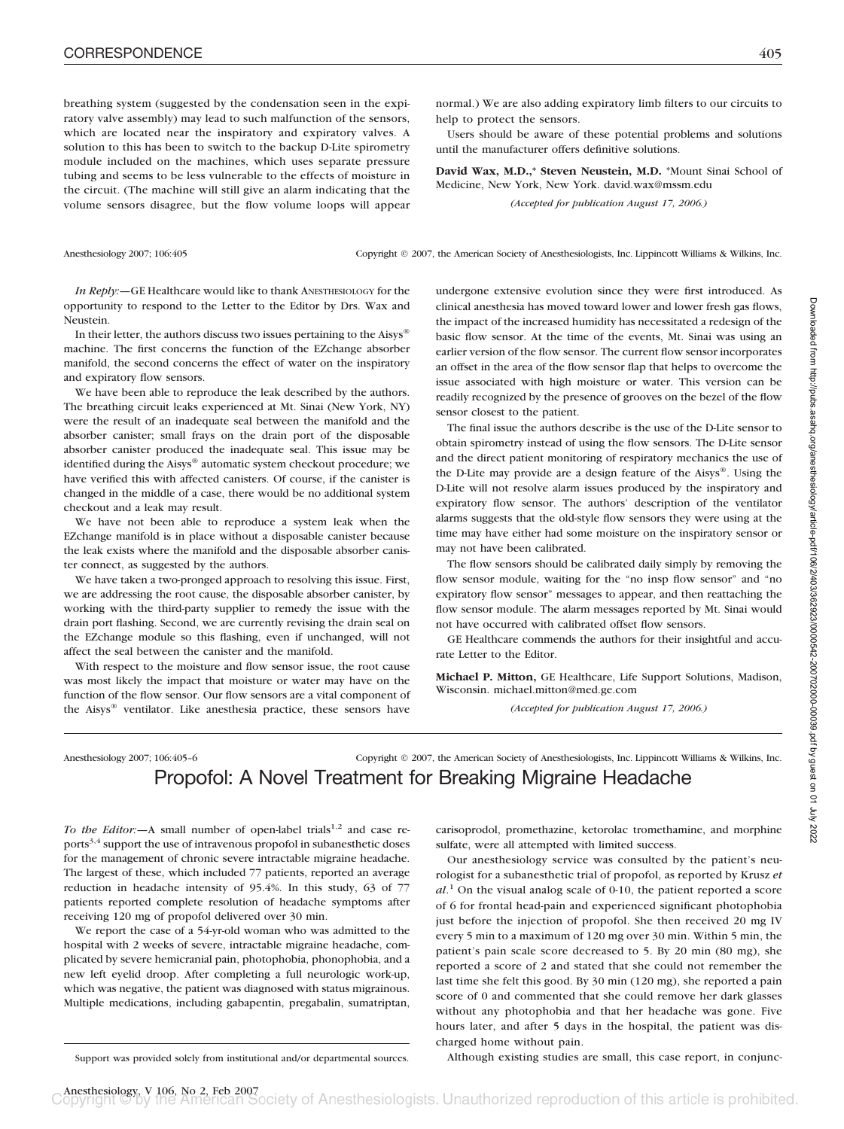breathing system (suggested by the condensation seen in the expiratory valve assembly) may lead to such malfunction of the sensors, which are located near the inspiratory and expiratory valves. A solution to this has been to switch to the backup D-Lite spirometry module included on the machines, which uses separate pressure tubing and seems to be less vulnerable to the effects of moisture in the circuit. (The machine will still give an alarm indicating that the volume sensors disagree, but the flow volume loops will appear

Anesthesiology 2007; 106:405 Copyright © 2007, the American Society of Anesthesiologists, Inc. Lippincott Williams & Wilkins, Inc.

Medicine, New York, New York. david.wax@mssm.edu

until the manufacturer offers definitive solutions.

help to protect the sensors.

*In Reply:—*GE Healthcare would like to thank ANESTHESIOLOGY for the opportunity to respond to the Letter to the Editor by Drs. Wax and Neustein.

In their letter, the authors discuss two issues pertaining to the Aisys® machine. The first concerns the function of the EZchange absorber manifold, the second concerns the effect of water on the inspiratory and expiratory flow sensors.

We have been able to reproduce the leak described by the authors. The breathing circuit leaks experienced at Mt. Sinai (New York, NY) were the result of an inadequate seal between the manifold and the absorber canister; small frays on the drain port of the disposable absorber canister produced the inadequate seal. This issue may be identified during the  $\mathrm{Aisys}^{\circledast}$  automatic system checkout procedure; we have verified this with affected canisters. Of course, if the canister is changed in the middle of a case, there would be no additional system checkout and a leak may result.

We have not been able to reproduce a system leak when the EZchange manifold is in place without a disposable canister because the leak exists where the manifold and the disposable absorber canister connect, as suggested by the authors.

We have taken a two-pronged approach to resolving this issue. First, we are addressing the root cause, the disposable absorber canister, by working with the third-party supplier to remedy the issue with the drain port flashing. Second, we are currently revising the drain seal on the EZchange module so this flashing, even if unchanged, will not affect the seal between the canister and the manifold.

With respect to the moisture and flow sensor issue, the root cause was most likely the impact that moisture or water may have on the function of the flow sensor. Our flow sensors are a vital component of the Aisys® ventilator. Like anesthesia practice, these sensors have

undergone extensive evolution since they were first introduced. As clinical anesthesia has moved toward lower and lower fresh gas flows, the impact of the increased humidity has necessitated a redesign of the basic flow sensor. At the time of the events, Mt. Sinai was using an earlier version of the flow sensor. The current flow sensor incorporates an offset in the area of the flow sensor flap that helps to overcome the issue associated with high moisture or water. This version can be readily recognized by the presence of grooves on the bezel of the flow sensor closest to the patient.

normal.) We are also adding expiratory limb filters to our circuits to

Users should be aware of these potential problems and solutions

**David Wax, M.D.,\* Steven Neustein, M.D.** \*Mount Sinai School of

*(Accepted for publication August 17, 2006.)*

The final issue the authors describe is the use of the D-Lite sensor to obtain spirometry instead of using the flow sensors. The D-Lite sensor and the direct patient monitoring of respiratory mechanics the use of the D-Lite may provide are a design feature of the Aisys®. Using the D-Lite will not resolve alarm issues produced by the inspiratory and expiratory flow sensor. The authors' description of the ventilator alarms suggests that the old-style flow sensors they were using at the time may have either had some moisture on the inspiratory sensor or may not have been calibrated.

The flow sensors should be calibrated daily simply by removing the flow sensor module, waiting for the "no insp flow sensor" and "no expiratory flow sensor" messages to appear, and then reattaching the flow sensor module. The alarm messages reported by Mt. Sinai would not have occurred with calibrated offset flow sensors.

GE Healthcare commends the authors for their insightful and accurate Letter to the Editor.

**Michael P. Mitton,** GE Healthcare, Life Support Solutions, Madison, Wisconsin. michael.mitton@med.ge.com

*(Accepted for publication August 17, 2006.)*

Anesthesiology 2007; 106:405–6 Copyright © 2007, the American Society of Anesthesiologists, Inc. Lippincott Williams & Wilkins, Inc. Propofol: A Novel Treatment for Breaking Migraine Headache

*To the Editor:* - A small number of open-label trials<sup>1,2</sup> and case reports<sup>3,4</sup> support the use of intravenous propofol in subanesthetic doses for the management of chronic severe intractable migraine headache. The largest of these, which included 77 patients, reported an average reduction in headache intensity of 95.4%. In this study, 63 of 77 patients reported complete resolution of headache symptoms after receiving 120 mg of propofol delivered over 30 min.

We report the case of a 54-yr-old woman who was admitted to the hospital with 2 weeks of severe, intractable migraine headache, complicated by severe hemicranial pain, photophobia, phonophobia, and a new left eyelid droop. After completing a full neurologic work-up, which was negative, the patient was diagnosed with status migrainous. Multiple medications, including gabapentin, pregabalin, sumatriptan,

sulfate, were all attempted with limited success. Our anesthesiology service was consulted by the patient's neu-

carisoprodol, promethazine, ketorolac tromethamine, and morphine

rologist for a subanesthetic trial of propofol, as reported by Krusz *et al*. <sup>1</sup> On the visual analog scale of 0-10, the patient reported a score of 6 for frontal head-pain and experienced significant photophobia just before the injection of propofol. She then received 20 mg IV every 5 min to a maximum of 120 mg over 30 min. Within 5 min, the patient's pain scale score decreased to 5. By 20 min (80 mg), she reported a score of 2 and stated that she could not remember the last time she felt this good. By 30 min (120 mg), she reported a pain score of 0 and commented that she could remove her dark glasses without any photophobia and that her headache was gone. Five hours later, and after 5 days in the hospital, the patient was discharged home without pain.

Support was provided solely from institutional and/or departmental sources. Although existing studies are small, this case report, in conjunc-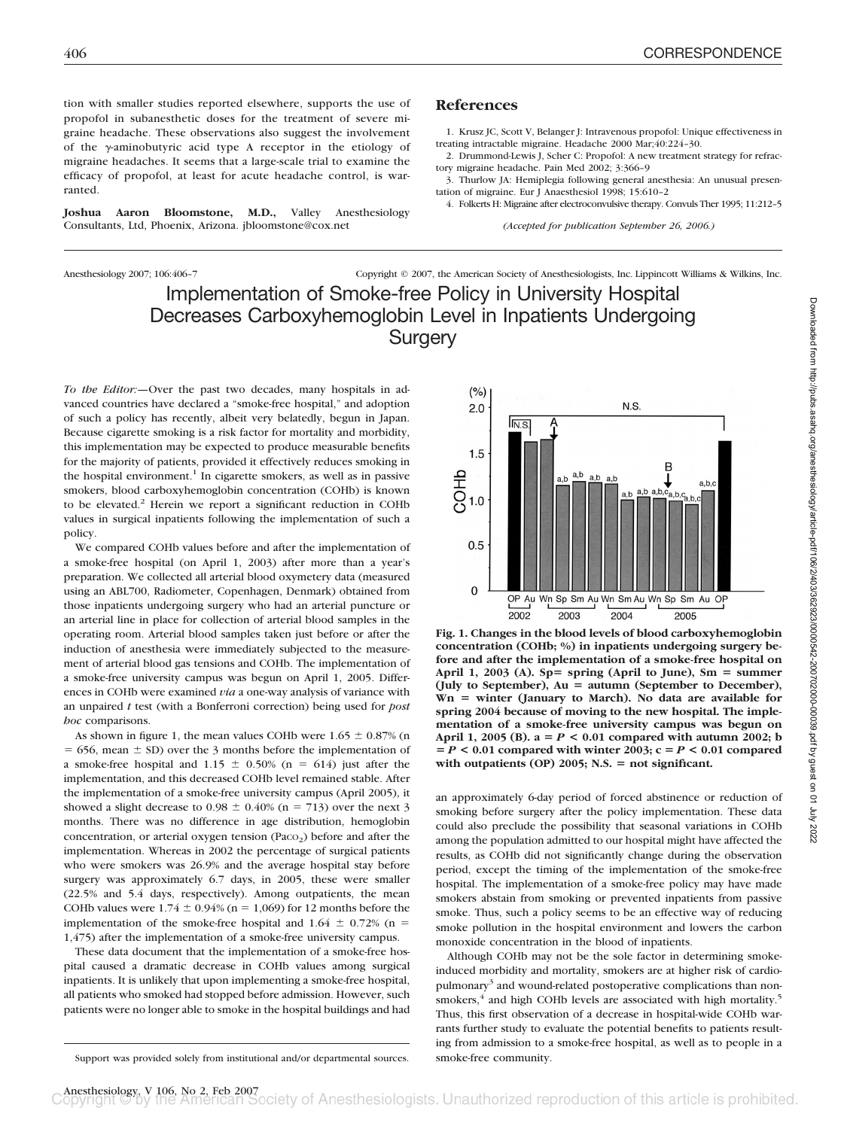tion with smaller studies reported elsewhere, supports the use of propofol in subanesthetic doses for the treatment of severe migraine headache. These observations also suggest the involvement of the  $\gamma$ -aminobutyric acid type A receptor in the etiology of migraine headaches. It seems that a large-scale trial to examine the efficacy of propofol, at least for acute headache control, is warranted.

**Joshua Aaron Bloomstone, M.D.,** Valley Anesthesiology Consultants, Ltd, Phoenix, Arizona. jbloomstone@cox.net

#### **References**

1. Krusz JC, Scott V, Belanger J: Intravenous propofol: Unique effectiveness in treating intractable migraine. Headache 2000 Mar;40:224–30.

- 2. Drummond-Lewis J, Scher C: Propofol: A new treatment strategy for refractory migraine headache. Pain Med 2002; 3:366–9
- 3. Thurlow JA: Hemiplegia following general anesthesia: An unusual presentation of migraine. Eur J Anaesthesiol 1998; 15:610–2
- 4. Folkerts H: Migraine after electroconvulsive therapy. Convuls Ther 1995; 11:212–5

*(Accepted for publication September 26, 2006.)*

# Anesthesiology 2007; 106:406–7 Copyright © 2007, the American Society of Anesthesiologists, Inc. Lippincott Williams & Wilkins, Inc. Implementation of Smoke-free Policy in University Hospital Decreases Carboxyhemoglobin Level in Inpatients Undergoing **Surgery**

Anesthesiology, V 106, No 2, Feb 2007<br>Copyright © by the American Society of Anesthesiologists. Unauthorized reproduction of this article is prohibited.

*To the Editor:—*Over the past two decades, many hospitals in advanced countries have declared a "smoke-free hospital," and adoption of such a policy has recently, albeit very belatedly, begun in Japan. Because cigarette smoking is a risk factor for mortality and morbidity, this implementation may be expected to produce measurable benefits for the majority of patients, provided it effectively reduces smoking in the hospital environment.<sup>1</sup> In cigarette smokers, as well as in passive smokers, blood carboxyhemoglobin concentration (COHb) is known to be elevated.2 Herein we report a significant reduction in COHb values in surgical inpatients following the implementation of such a policy.

We compared COHb values before and after the implementation of a smoke-free hospital (on April 1, 2003) after more than a year's preparation. We collected all arterial blood oxymetery data (measured using an ABL700, Radiometer, Copenhagen, Denmark) obtained from those inpatients undergoing surgery who had an arterial puncture or an arterial line in place for collection of arterial blood samples in the operating room. Arterial blood samples taken just before or after the induction of anesthesia were immediately subjected to the measurement of arterial blood gas tensions and COHb. The implementation of a smoke-free university campus was begun on April 1, 2005. Differences in COHb were examined *via* a one-way analysis of variance with an unpaired *t* test (with a Bonferroni correction) being used for *post hoc* comparisons.

As shown in figure 1, the mean values COHb were  $1.65 \pm 0.87\%$  (n  $= 656$ , mean  $\pm$  SD) over the 3 months before the implementation of a smoke-free hospital and  $1.15 \pm 0.50\%$  (n = 614) just after the implementation, and this decreased COHb level remained stable. After the implementation of a smoke-free university campus (April 2005), it showed a slight decrease to  $0.98 \pm 0.40\%$  (n = 713) over the next 3 months. There was no difference in age distribution, hemoglobin concentration, or arterial oxygen tension (Paco<sub>2</sub>) before and after the implementation. Whereas in 2002 the percentage of surgical patients who were smokers was 26.9% and the average hospital stay before surgery was approximately 6.7 days, in 2005, these were smaller (22.5% and 5.4 days, respectively). Among outpatients, the mean COHb values were  $1.74 \pm 0.94\%$  (n = 1,069) for 12 months before the implementation of the smoke-free hospital and  $1.64 \pm 0.72\%$  (n = 1,475) after the implementation of a smoke-free university campus.

These data document that the implementation of a smoke-free hospital caused a dramatic decrease in COHb values among surgical inpatients. It is unlikely that upon implementing a smoke-free hospital, all patients who smoked had stopped before admission. However, such patients were no longer able to smoke in the hospital buildings and had



**Fig. 1. Changes in the blood levels of blood carboxyhemoglobin concentration (COHb; %) in inpatients undergoing surgery before and after the implementation of a smoke-free hospital on** April 1, 2003 (A). Sp= spring (April to June), Sm = summer **(July to September), Au autumn (September to December), Wn winter (January to March). No data are available for spring 2004 because of moving to the new hospital. The implementation of a smoke-free university campus was begun on** April 1, 2005 (B).  $a = P < 0.01$  compared with autumn 2002; b  $P < 0.01$  compared with winter 2003;  $C = P < 0.01$  compared with outpatients (OP)  $2005$ ; N.S. = not significant.

an approximately 6-day period of forced abstinence or reduction of smoking before surgery after the policy implementation. These data could also preclude the possibility that seasonal variations in COHb among the population admitted to our hospital might have affected the results, as COHb did not significantly change during the observation period, except the timing of the implementation of the smoke-free hospital. The implementation of a smoke-free policy may have made smokers abstain from smoking or prevented inpatients from passive smoke. Thus, such a policy seems to be an effective way of reducing smoke pollution in the hospital environment and lowers the carbon monoxide concentration in the blood of inpatients.

Although COHb may not be the sole factor in determining smokeinduced morbidity and mortality, smokers are at higher risk of cardiopulmonary<sup>3</sup> and wound-related postoperative complications than nonsmokers,<sup>4</sup> and high COHb levels are associated with high mortality.<sup>5</sup> Thus, this first observation of a decrease in hospital-wide COHb warrants further study to evaluate the potential benefits to patients resulting from admission to a smoke-free hospital, as well as to people in a

Support was provided solely from institutional and/or departmental sources. smoke-free community.